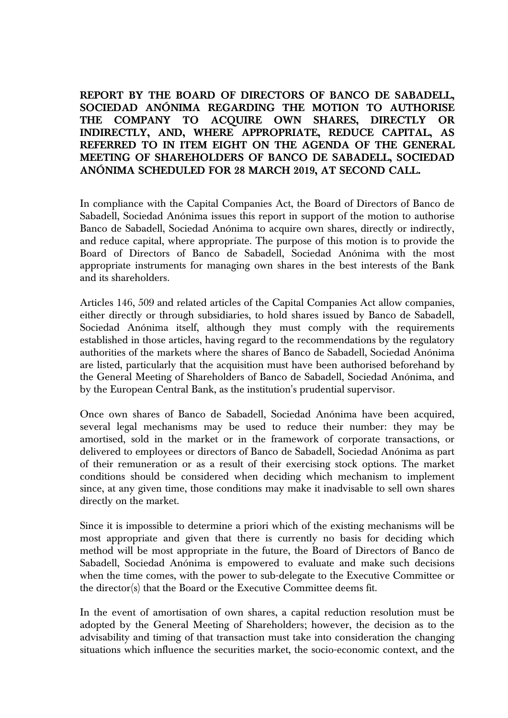## **REPORT BY THE BOARD OF DIRECTORS OF BANCO DE SABADELL, SOCIEDAD ANÓNIMA REGARDING THE MOTION TO AUTHORISE THE COMPANY TO ACQUIRE OWN SHARES, DIRECTLY OR INDIRECTLY, AND, WHERE APPROPRIATE, REDUCE CAPITAL, AS REFERRED TO IN ITEM EIGHT ON THE AGENDA OF THE GENERAL MEETING OF SHAREHOLDERS OF BANCO DE SABADELL, SOCIEDAD ANÓNIMA SCHEDULED FOR 28 MARCH 2019, AT SECOND CALL.**

In compliance with the Capital Companies Act, the Board of Directors of Banco de Sabadell, Sociedad Anónima issues this report in support of the motion to authorise Banco de Sabadell, Sociedad Anónima to acquire own shares, directly or indirectly, and reduce capital, where appropriate. The purpose of this motion is to provide the Board of Directors of Banco de Sabadell, Sociedad Anónima with the most appropriate instruments for managing own shares in the best interests of the Bank and its shareholders.

Articles 146, 509 and related articles of the Capital Companies Act allow companies, either directly or through subsidiaries, to hold shares issued by Banco de Sabadell, Sociedad Anónima itself, although they must comply with the requirements established in those articles, having regard to the recommendations by the regulatory authorities of the markets where the shares of Banco de Sabadell, Sociedad Anónima are listed, particularly that the acquisition must have been authorised beforehand by the General Meeting of Shareholders of Banco de Sabadell, Sociedad Anónima, and by the European Central Bank, as the institution's prudential supervisor.

Once own shares of Banco de Sabadell, Sociedad Anónima have been acquired, several legal mechanisms may be used to reduce their number: they may be amortised, sold in the market or in the framework of corporate transactions, or delivered to employees or directors of Banco de Sabadell, Sociedad Anónima as part of their remuneration or as a result of their exercising stock options. The market conditions should be considered when deciding which mechanism to implement since, at any given time, those conditions may make it inadvisable to sell own shares directly on the market.

Since it is impossible to determine a priori which of the existing mechanisms will be most appropriate and given that there is currently no basis for deciding which method will be most appropriate in the future, the Board of Directors of Banco de Sabadell, Sociedad Anónima is empowered to evaluate and make such decisions when the time comes, with the power to sub-delegate to the Executive Committee or the director(s) that the Board or the Executive Committee deems fit.

In the event of amortisation of own shares, a capital reduction resolution must be adopted by the General Meeting of Shareholders; however, the decision as to the advisability and timing of that transaction must take into consideration the changing situations which influence the securities market, the socio-economic context, and the